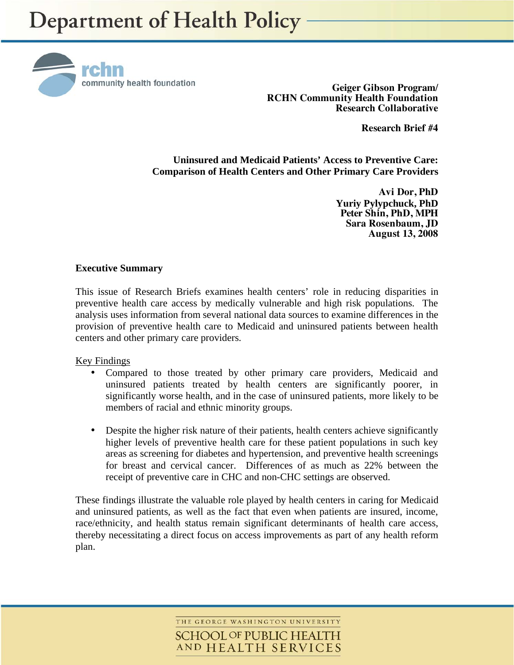

**Geiger Gibson Program/ RCHN Community Health Foundation Research Collaborative** 

**Research Brief #4** 

**Uninsured and Medicaid Patients' Access to Preventive Care: Comparison of Health Centers and Other Primary Care Providers** 

> **Avi Dor, PhD Yuriy Pylypchuck, PhD Peter Shin, PhD, MPH Sara Rosenbaum, JD August 13, 2008**

### **Executive Summary**

This issue of Research Briefs examines health centers' role in reducing disparities in preventive health care access by medically vulnerable and high risk populations. The analysis uses information from several national data sources to examine differences in the provision of preventive health care to Medicaid and uninsured patients between health centers and other primary care providers.

#### Key Findings

- Compared to those treated by other primary care providers, Medicaid and uninsured patients treated by health centers are significantly poorer, in significantly worse health, and in the case of uninsured patients, more likely to be members of racial and ethnic minority groups.
- Despite the higher risk nature of their patients, health centers achieve significantly higher levels of preventive health care for these patient populations in such key areas as screening for diabetes and hypertension, and preventive health screenings for breast and cervical cancer. Differences of as much as 22% between the receipt of preventive care in CHC and non-CHC settings are observed.

These findings illustrate the valuable role played by health centers in caring for Medicaid and uninsured patients, as well as the fact that even when patients are insured, income, race/ethnicity, and health status remain significant determinants of health care access, thereby necessitating a direct focus on access improvements as part of any health reform plan.

> THE GEORGE WASHINGTON UNIVERSITY **SCHOOL OF PUBLIC HEALTH** AND HEALTH SERVICES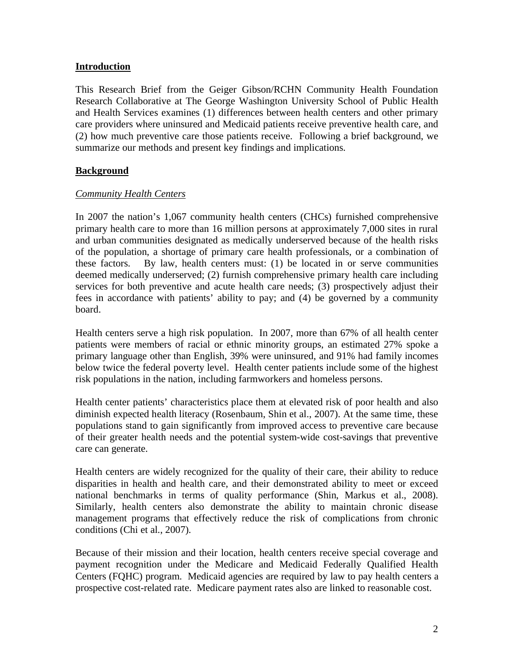## **Introduction**

This Research Brief from the Geiger Gibson/RCHN Community Health Foundation Research Collaborative at The George Washington University School of Public Health and Health Services examines (1) differences between health centers and other primary care providers where uninsured and Medicaid patients receive preventive health care, and (2) how much preventive care those patients receive. Following a brief background, we summarize our methods and present key findings and implications.

## **Background**

## *Community Health Centers*

In 2007 the nation's 1,067 community health centers (CHCs) furnished comprehensive primary health care to more than 16 million persons at approximately 7,000 sites in rural and urban communities designated as medically underserved because of the health risks of the population, a shortage of primary care health professionals, or a combination of these factors. By law, health centers must: (1) be located in or serve communities deemed medically underserved; (2) furnish comprehensive primary health care including services for both preventive and acute health care needs; (3) prospectively adjust their fees in accordance with patients' ability to pay; and (4) be governed by a community board.

Health centers serve a high risk population. In 2007, more than 67% of all health center patients were members of racial or ethnic minority groups, an estimated 27% spoke a primary language other than English, 39% were uninsured, and 91% had family incomes below twice the federal poverty level. Health center patients include some of the highest risk populations in the nation, including farmworkers and homeless persons.

Health center patients' characteristics place them at elevated risk of poor health and also diminish expected health literacy (Rosenbaum, Shin et al., 2007). At the same time, these populations stand to gain significantly from improved access to preventive care because of their greater health needs and the potential system-wide cost-savings that preventive care can generate.

Health centers are widely recognized for the quality of their care, their ability to reduce disparities in health and health care, and their demonstrated ability to meet or exceed national benchmarks in terms of quality performance (Shin, Markus et al., 2008). Similarly, health centers also demonstrate the ability to maintain chronic disease management programs that effectively reduce the risk of complications from chronic conditions (Chi et al., 2007).

Because of their mission and their location, health centers receive special coverage and payment recognition under the Medicare and Medicaid Federally Qualified Health Centers (FQHC) program. Medicaid agencies are required by law to pay health centers a prospective cost-related rate. Medicare payment rates also are linked to reasonable cost.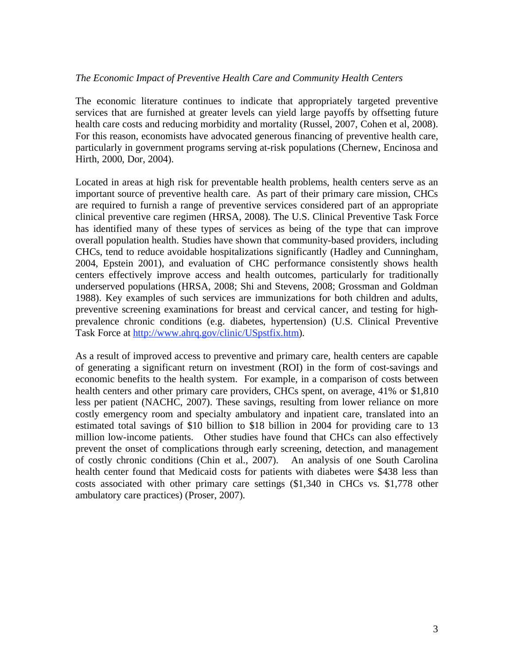### *The Economic Impact of Preventive Health Care and Community Health Centers*

The economic literature continues to indicate that appropriately targeted preventive services that are furnished at greater levels can yield large payoffs by offsetting future health care costs and reducing morbidity and mortality (Russel, 2007, Cohen et al, 2008). For this reason, economists have advocated generous financing of preventive health care, particularly in government programs serving at-risk populations (Chernew, Encinosa and Hirth, 2000, Dor, 2004).

Located in areas at high risk for preventable health problems, health centers serve as an important source of preventive health care. As part of their primary care mission, CHCs are required to furnish a range of preventive services considered part of an appropriate clinical preventive care regimen (HRSA, 2008). The U.S. Clinical Preventive Task Force has identified many of these types of services as being of the type that can improve overall population health. Studies have shown that community-based providers, including CHCs, tend to reduce avoidable hospitalizations significantly (Hadley and Cunningham, 2004, Epstein 2001), and evaluation of CHC performance consistently shows health centers effectively improve access and health outcomes, particularly for traditionally underserved populations (HRSA, 2008; Shi and Stevens, 2008; Grossman and Goldman 1988). Key examples of such services are immunizations for both children and adults, preventive screening examinations for breast and cervical cancer, and testing for highprevalence chronic conditions (e.g. diabetes, hypertension) (U.S. Clinical Preventive Task Force at http://www.ahrq.gov/clinic/USpstfix.htm).

As a result of improved access to preventive and primary care, health centers are capable of generating a significant return on investment (ROI) in the form of cost-savings and economic benefits to the health system. For example, in a comparison of costs between health centers and other primary care providers, CHCs spent, on average, 41% or \$1,810 less per patient (NACHC, 2007). These savings, resulting from lower reliance on more costly emergency room and specialty ambulatory and inpatient care, translated into an estimated total savings of \$10 billion to \$18 billion in 2004 for providing care to 13 million low-income patients. Other studies have found that CHCs can also effectively prevent the onset of complications through early screening, detection, and management of costly chronic conditions (Chin et al., 2007). An analysis of one South Carolina health center found that Medicaid costs for patients with diabetes were \$438 less than costs associated with other primary care settings (\$1,340 in CHCs vs. \$1,778 other ambulatory care practices) (Proser, 2007).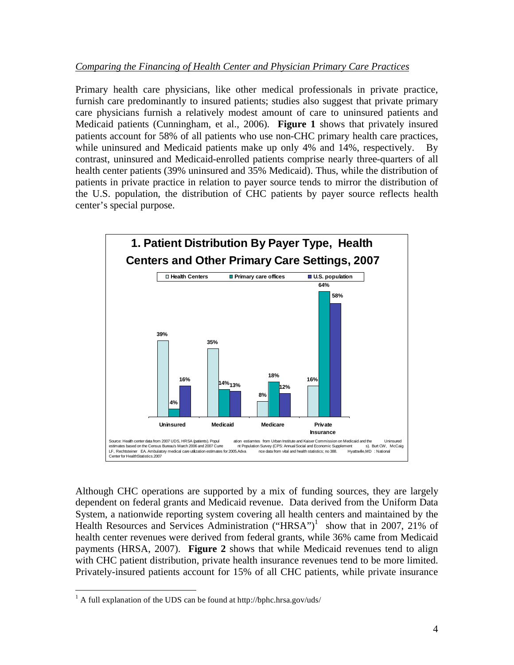## *Comparing the Financing of Health Center and Physician Primary Care Practices*

Primary health care physicians, like other medical professionals in private practice, furnish care predominantly to insured patients; studies also suggest that private primary care physicians furnish a relatively modest amount of care to uninsured patients and Medicaid patients (Cunningham, et al., 2006). **Figure 1** shows that privately insured patients account for 58% of all patients who use non-CHC primary health care practices, while uninsured and Medicaid patients make up only 4% and 14%, respectively. By contrast, uninsured and Medicaid-enrolled patients comprise nearly three-quarters of all health center patients (39% uninsured and 35% Medicaid). Thus, while the distribution of patients in private practice in relation to payer source tends to mirror the distribution of the U.S. population, the distribution of CHC patients by payer source reflects health center's special purpose.



Although CHC operations are supported by a mix of funding sources, they are largely dependent on federal grants and Medicaid revenue. Data derived from the Uniform Data System, a nationwide reporting system covering all health centers and maintained by the Health Resources and Services Administration ("HRSA")<sup>1</sup> show that in 2007, 21% of health center revenues were derived from federal grants, while 36% came from Medicaid payments (HRSA, 2007). **Figure 2** shows that while Medicaid revenues tend to align with CHC patient distribution, private health insurance revenues tend to be more limited. Privately-insured patients account for 15% of all CHC patients, while private insurance

<sup>1</sup> <sup>1</sup> A full explanation of the UDS can be found at http://bphc.hrsa.gov/uds/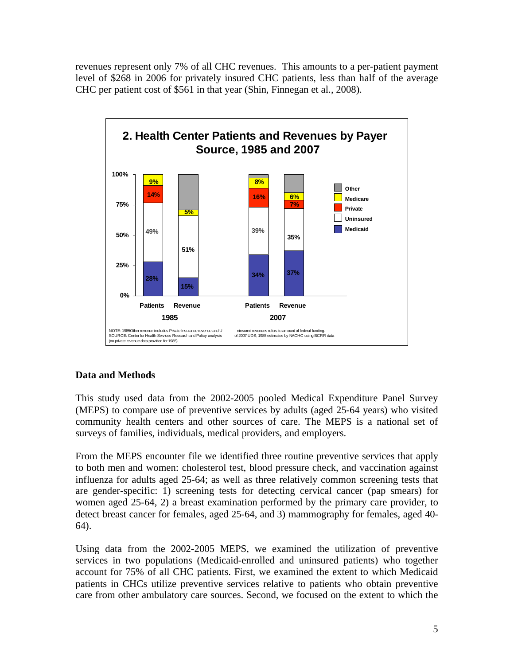revenues represent only 7% of all CHC revenues. This amounts to a per-patient payment level of \$268 in 2006 for privately insured CHC patients, less than half of the average CHC per patient cost of \$561 in that year (Shin, Finnegan et al., 2008).



# **Data and Methods**

This study used data from the 2002-2005 pooled Medical Expenditure Panel Survey (MEPS) to compare use of preventive services by adults (aged 25-64 years) who visited community health centers and other sources of care. The MEPS is a national set of surveys of families, individuals, medical providers, and employers.

From the MEPS encounter file we identified three routine preventive services that apply to both men and women: cholesterol test, blood pressure check, and vaccination against influenza for adults aged 25-64; as well as three relatively common screening tests that are gender-specific: 1) screening tests for detecting cervical cancer (pap smears) for women aged 25-64, 2) a breast examination performed by the primary care provider, to detect breast cancer for females, aged 25-64, and 3) mammography for females, aged 40- 64).

Using data from the 2002-2005 MEPS, we examined the utilization of preventive services in two populations (Medicaid-enrolled and uninsured patients) who together account for 75% of all CHC patients. First, we examined the extent to which Medicaid patients in CHCs utilize preventive services relative to patients who obtain preventive care from other ambulatory care sources. Second, we focused on the extent to which the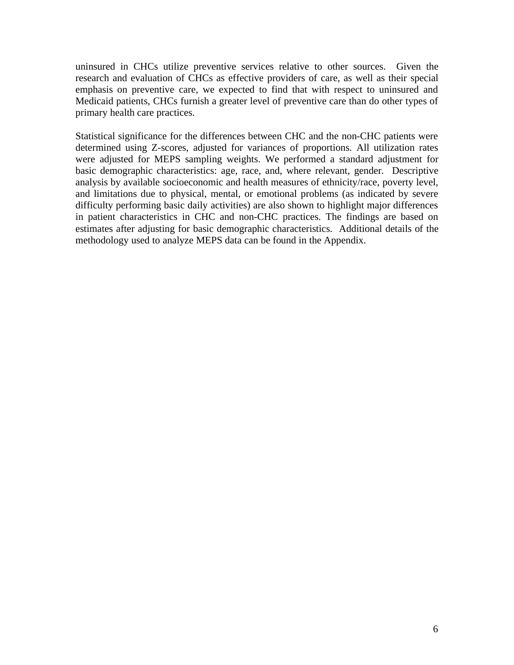uninsured in CHCs utilize preventive services relative to other sources. Given the research and evaluation of CHCs as effective providers of care, as well as their special emphasis on preventive care, we expected to find that with respect to uninsured and Medicaid patients, CHCs furnish a greater level of preventive care than do other types of primary health care practices.

Statistical significance for the differences between CHC and the non-CHC patients were determined using Z-scores, adjusted for variances of proportions. All utilization rates were adjusted for MEPS sampling weights. We performed a standard adjustment for basic demographic characteristics: age, race, and, where relevant, gender. Descriptive analysis by available socioeconomic and health measures of ethnicity/race, poverty level, and limitations due to physical, mental, or emotional problems (as indicated by severe difficulty performing basic daily activities) are also shown to highlight major differences in patient characteristics in CHC and non-CHC practices. The findings are based on estimates after adjusting for basic demographic characteristics. Additional details of the methodology used to analyze MEPS data can be found in the Appendix.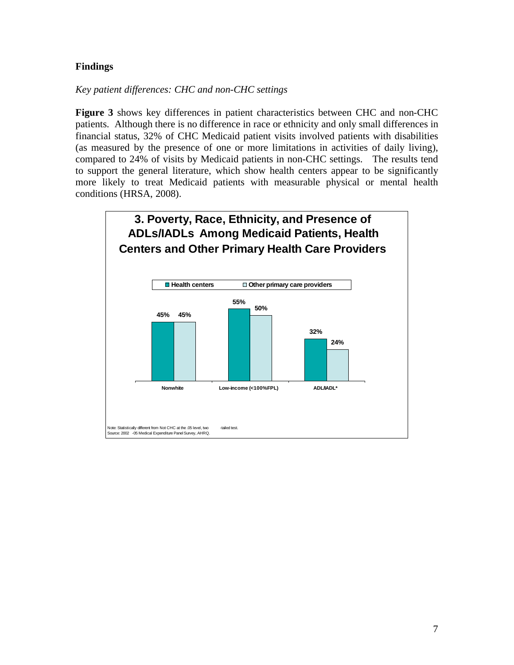## **Findings**

*Key patient differences: CHC and non-CHC settings* 

**Figure 3** shows key differences in patient characteristics between CHC and non-CHC patients. Although there is no difference in race or ethnicity and only small differences in financial status, 32% of CHC Medicaid patient visits involved patients with disabilities (as measured by the presence of one or more limitations in activities of daily living), compared to 24% of visits by Medicaid patients in non-CHC settings. The results tend to support the general literature, which show health centers appear to be significantly more likely to treat Medicaid patients with measurable physical or mental health conditions (HRSA, 2008).

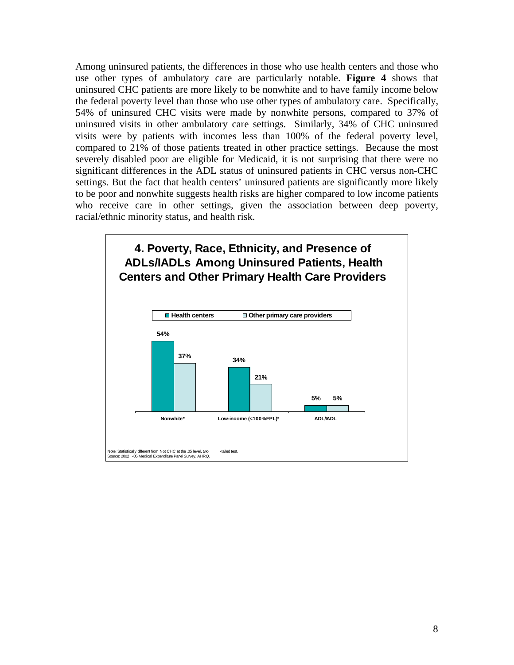Among uninsured patients, the differences in those who use health centers and those who use other types of ambulatory care are particularly notable. **Figure 4** shows that uninsured CHC patients are more likely to be nonwhite and to have family income below the federal poverty level than those who use other types of ambulatory care. Specifically, 54% of uninsured CHC visits were made by nonwhite persons, compared to 37% of uninsured visits in other ambulatory care settings. Similarly, 34% of CHC uninsured visits were by patients with incomes less than 100% of the federal poverty level, compared to 21% of those patients treated in other practice settings. Because the most severely disabled poor are eligible for Medicaid, it is not surprising that there were no significant differences in the ADL status of uninsured patients in CHC versus non-CHC settings. But the fact that health centers' uninsured patients are significantly more likely to be poor and nonwhite suggests health risks are higher compared to low income patients who receive care in other settings, given the association between deep poverty, racial/ethnic minority status, and health risk.

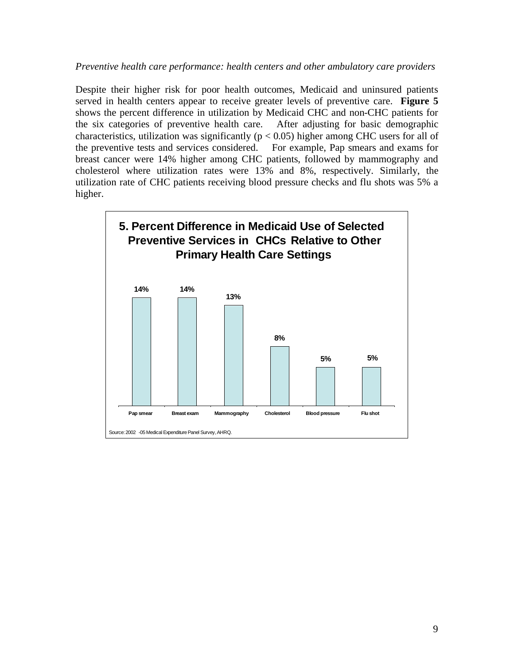### *Preventive health care performance: health centers and other ambulatory care providers*

Despite their higher risk for poor health outcomes, Medicaid and uninsured patients served in health centers appear to receive greater levels of preventive care. **Figure 5** shows the percent difference in utilization by Medicaid CHC and non-CHC patients for the six categories of preventive health care. After adjusting for basic demographic characteristics, utilization was significantly ( $p < 0.05$ ) higher among CHC users for all of the preventive tests and services considered. For example, Pap smears and exams for breast cancer were 14% higher among CHC patients, followed by mammography and cholesterol where utilization rates were 13% and 8%, respectively. Similarly, the utilization rate of CHC patients receiving blood pressure checks and flu shots was 5% a higher.

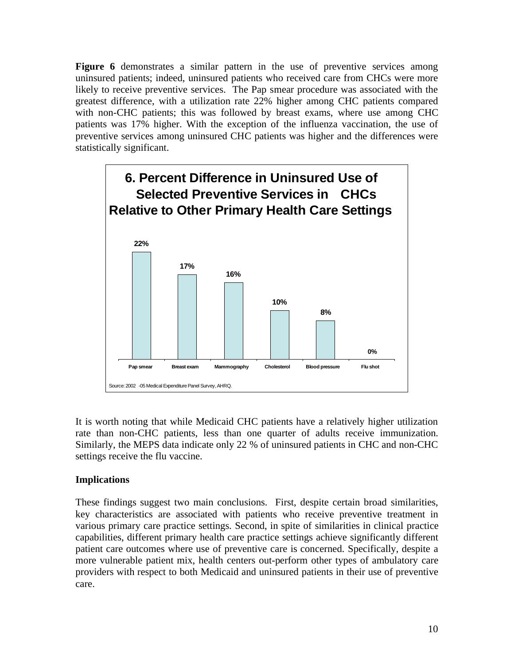**Figure 6** demonstrates a similar pattern in the use of preventive services among uninsured patients; indeed, uninsured patients who received care from CHCs were more likely to receive preventive services. The Pap smear procedure was associated with the greatest difference, with a utilization rate 22% higher among CHC patients compared with non-CHC patients; this was followed by breast exams, where use among CHC patients was 17% higher. With the exception of the influenza vaccination, the use of preventive services among uninsured CHC patients was higher and the differences were statistically significant.



It is worth noting that while Medicaid CHC patients have a relatively higher utilization rate than non-CHC patients, less than one quarter of adults receive immunization. Similarly, the MEPS data indicate only 22 % of uninsured patients in CHC and non-CHC settings receive the flu vaccine.

## **Implications**

These findings suggest two main conclusions. First, despite certain broad similarities, key characteristics are associated with patients who receive preventive treatment in various primary care practice settings. Second, in spite of similarities in clinical practice capabilities, different primary health care practice settings achieve significantly different patient care outcomes where use of preventive care is concerned. Specifically, despite a more vulnerable patient mix, health centers out-perform other types of ambulatory care providers with respect to both Medicaid and uninsured patients in their use of preventive care.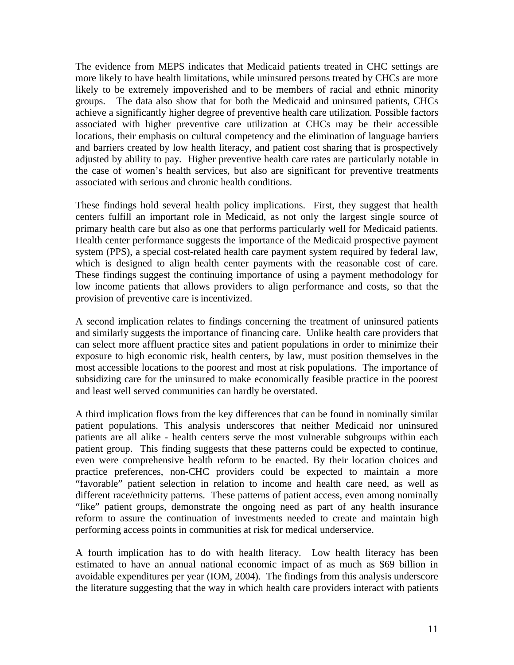The evidence from MEPS indicates that Medicaid patients treated in CHC settings are more likely to have health limitations, while uninsured persons treated by CHCs are more likely to be extremely impoverished and to be members of racial and ethnic minority groups. The data also show that for both the Medicaid and uninsured patients, CHCs achieve a significantly higher degree of preventive health care utilization. Possible factors associated with higher preventive care utilization at CHCs may be their accessible locations, their emphasis on cultural competency and the elimination of language barriers and barriers created by low health literacy, and patient cost sharing that is prospectively adjusted by ability to pay. Higher preventive health care rates are particularly notable in the case of women's health services, but also are significant for preventive treatments associated with serious and chronic health conditions.

These findings hold several health policy implications. First, they suggest that health centers fulfill an important role in Medicaid, as not only the largest single source of primary health care but also as one that performs particularly well for Medicaid patients. Health center performance suggests the importance of the Medicaid prospective payment system (PPS), a special cost-related health care payment system required by federal law, which is designed to align health center payments with the reasonable cost of care. These findings suggest the continuing importance of using a payment methodology for low income patients that allows providers to align performance and costs, so that the provision of preventive care is incentivized.

A second implication relates to findings concerning the treatment of uninsured patients and similarly suggests the importance of financing care. Unlike health care providers that can select more affluent practice sites and patient populations in order to minimize their exposure to high economic risk, health centers, by law, must position themselves in the most accessible locations to the poorest and most at risk populations. The importance of subsidizing care for the uninsured to make economically feasible practice in the poorest and least well served communities can hardly be overstated.

A third implication flows from the key differences that can be found in nominally similar patient populations. This analysis underscores that neither Medicaid nor uninsured patients are all alike - health centers serve the most vulnerable subgroups within each patient group. This finding suggests that these patterns could be expected to continue, even were comprehensive health reform to be enacted. By their location choices and practice preferences, non-CHC providers could be expected to maintain a more "favorable" patient selection in relation to income and health care need, as well as different race/ethnicity patterns. These patterns of patient access, even among nominally "like" patient groups, demonstrate the ongoing need as part of any health insurance reform to assure the continuation of investments needed to create and maintain high performing access points in communities at risk for medical underservice.

A fourth implication has to do with health literacy. Low health literacy has been estimated to have an annual national economic impact of as much as \$69 billion in avoidable expenditures per year (IOM, 2004). The findings from this analysis underscore the literature suggesting that the way in which health care providers interact with patients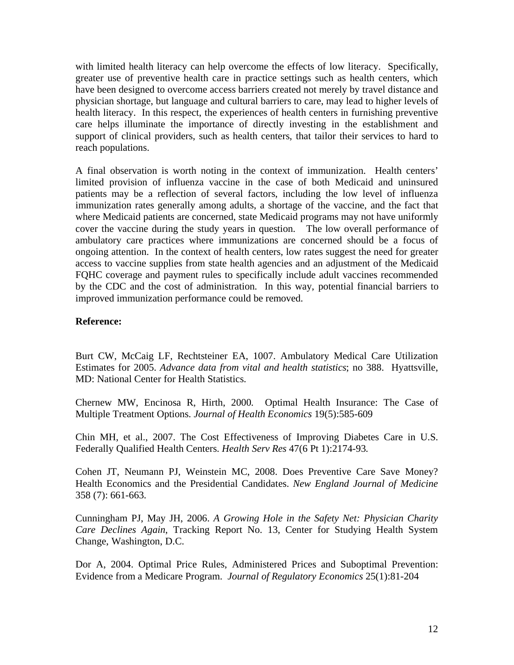with limited health literacy can help overcome the effects of low literacy. Specifically, greater use of preventive health care in practice settings such as health centers, which have been designed to overcome access barriers created not merely by travel distance and physician shortage, but language and cultural barriers to care, may lead to higher levels of health literacy. In this respect, the experiences of health centers in furnishing preventive care helps illuminate the importance of directly investing in the establishment and support of clinical providers, such as health centers, that tailor their services to hard to reach populations.

A final observation is worth noting in the context of immunization. Health centers' limited provision of influenza vaccine in the case of both Medicaid and uninsured patients may be a reflection of several factors, including the low level of influenza immunization rates generally among adults, a shortage of the vaccine, and the fact that where Medicaid patients are concerned, state Medicaid programs may not have uniformly cover the vaccine during the study years in question. The low overall performance of ambulatory care practices where immunizations are concerned should be a focus of ongoing attention. In the context of health centers, low rates suggest the need for greater access to vaccine supplies from state health agencies and an adjustment of the Medicaid FQHC coverage and payment rules to specifically include adult vaccines recommended by the CDC and the cost of administration. In this way, potential financial barriers to improved immunization performance could be removed.

## **Reference:**

Burt CW, McCaig LF, Rechtsteiner EA, 1007. Ambulatory Medical Care Utilization Estimates for 2005. *Advance data from vital and health statistics*; no 388. Hyattsville, MD: National Center for Health Statistics.

Chernew MW, Encinosa R, Hirth, 2000. Optimal Health Insurance: The Case of Multiple Treatment Options. *Journal of Health Economics* 19(5):585-609

Chin MH, et al., 2007. The Cost Effectiveness of Improving Diabetes Care in U.S. Federally Qualified Health Centers. *Health Serv Res* 47(6 Pt 1):2174-93.

Cohen JT, Neumann PJ, Weinstein MC, 2008. Does Preventive Care Save Money? Health Economics and the Presidential Candidates. *New England Journal of Medicine*  358 (7): 661-663.

Cunningham PJ, May JH, 2006. *A Growing Hole in the Safety Net: Physician Charity Care Declines Again*, Tracking Report No. 13, Center for Studying Health System Change, Washington, D.C.

Dor A, 2004. Optimal Price Rules, Administered Prices and Suboptimal Prevention: Evidence from a Medicare Program. *Journal of Regulatory Economics* 25(1):81-204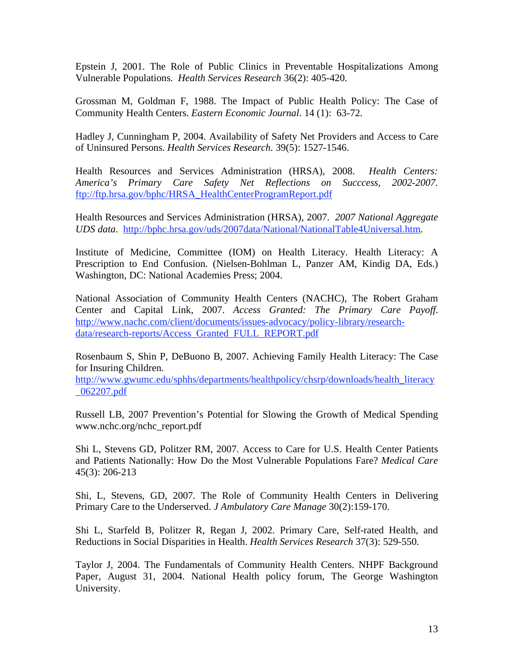Epstein J, 2001. The Role of Public Clinics in Preventable Hospitalizations Among Vulnerable Populations. *Health Services Research* 36(2): 405-420.

Grossman M, Goldman F, 1988. The Impact of Public Health Policy: The Case of Community Health Centers. *Eastern Economic Journal*. 14 (1): 63-72.

Hadley J, Cunningham P, 2004. Availability of Safety Net Providers and Access to Care of Uninsured Persons. *Health Services Research*. 39(5): 1527-1546.

Health Resources and Services Administration (HRSA), 2008. *Health Centers: America's Primary Care Safety Net Reflections on Succcess, 2002-2007*. ftp://ftp.hrsa.gov/bphc/HRSA\_HealthCenterProgramReport.pdf

Health Resources and Services Administration (HRSA), 2007. *2007 National Aggregate UDS data*. http://bphc.hrsa.gov/uds/2007data/National/NationalTable4Universal.htm.

Institute of Medicine, Committee (IOM) on Health Literacy. Health Literacy: A Prescription to End Confusion. (Nielsen-Bohlman L, Panzer AM, Kindig DA, Eds.) Washington, DC: National Academies Press; 2004.

National Association of Community Health Centers (NACHC), The Robert Graham Center and Capital Link, 2007. *Access Granted: The Primary Care Payoff*. http://www.nachc.com/client/documents/issues-advocacy/policy-library/researchdata/research-reports/Access\_Granted\_FULL\_REPORT.pdf

Rosenbaum S, Shin P, DeBuono B, 2007. Achieving Family Health Literacy: The Case for Insuring Children.

http://www.gwumc.edu/sphhs/departments/healthpolicy/chsrp/downloads/health\_literacy \_062207.pdf

Russell LB, 2007 Prevention's Potential for Slowing the Growth of Medical Spending www.nchc.org/nchc\_report.pdf

Shi L, Stevens GD, Politzer RM, 2007. Access to Care for U.S. Health Center Patients and Patients Nationally: How Do the Most Vulnerable Populations Fare? *Medical Care*  45(3): 206-213

Shi, L, Stevens, GD, 2007. The Role of Community Health Centers in Delivering Primary Care to the Underserved. *J Ambulatory Care Manage* 30(2):159-170.

Shi L, Starfeld B, Politzer R, Regan J, 2002. Primary Care, Self-rated Health, and Reductions in Social Disparities in Health. *Health Services Research* 37(3): 529-550.

Taylor J, 2004. The Fundamentals of Community Health Centers. NHPF Background Paper, August 31, 2004. National Health policy forum, The George Washington University.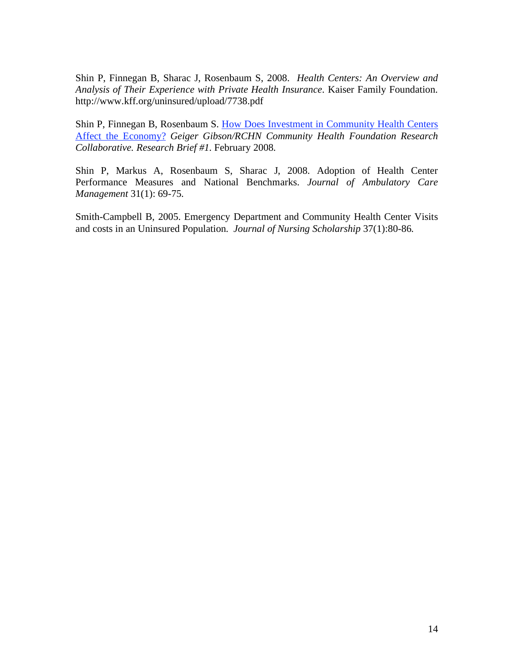Shin P, Finnegan B, Sharac J, Rosenbaum S, 2008. *Health Centers: An Overview and Analysis of Their Experience with Private Health Insurance*. Kaiser Family Foundation. http://www.kff.org/uninsured/upload/7738.pdf

Shin P, Finnegan B, Rosenbaum S. How Does Investment in Community Health Centers Affect the Economy? *Geiger Gibson/RCHN Community Health Foundation Research Collaborative. Research Brief #1.* February 2008.

Shin P, Markus A, Rosenbaum S, Sharac J, 2008. Adoption of Health Center Performance Measures and National Benchmarks. *Journal of Ambulatory Care Management* 31(1): 69-75.

Smith-Campbell B, 2005. Emergency Department and Community Health Center Visits and costs in an Uninsured Population. *Journal of Nursing Scholarship* 37(1):80-86.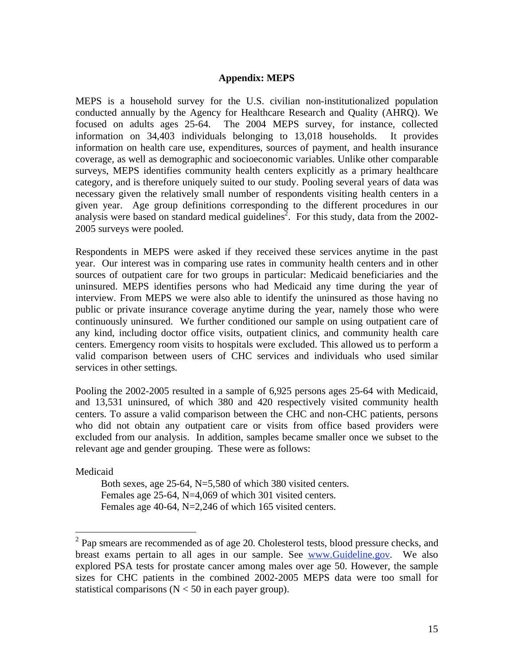### **Appendix: MEPS**

MEPS is a household survey for the U.S. civilian non-institutionalized population conducted annually by the Agency for Healthcare Research and Quality (AHRQ). We focused on adults ages 25-64. The 2004 MEPS survey, for instance, collected information on 34,403 individuals belonging to 13,018 households. It provides information on health care use, expenditures, sources of payment, and health insurance coverage, as well as demographic and socioeconomic variables. Unlike other comparable surveys, MEPS identifies community health centers explicitly as a primary healthcare category, and is therefore uniquely suited to our study. Pooling several years of data was necessary given the relatively small number of respondents visiting health centers in a given year. Age group definitions corresponding to the different procedures in our analysis were based on standard medical guidelines<sup>2</sup>. For this study, data from the 2002-2005 surveys were pooled.

Respondents in MEPS were asked if they received these services anytime in the past year. Our interest was in comparing use rates in community health centers and in other sources of outpatient care for two groups in particular: Medicaid beneficiaries and the uninsured. MEPS identifies persons who had Medicaid any time during the year of interview. From MEPS we were also able to identify the uninsured as those having no public or private insurance coverage anytime during the year, namely those who were continuously uninsured. We further conditioned our sample on using outpatient care of any kind, including doctor office visits, outpatient clinics, and community health care centers. Emergency room visits to hospitals were excluded. This allowed us to perform a valid comparison between users of CHC services and individuals who used similar services in other settings.

Pooling the 2002-2005 resulted in a sample of 6,925 persons ages 25-64 with Medicaid, and 13,531 uninsured, of which 380 and 420 respectively visited community health centers. To assure a valid comparison between the CHC and non-CHC patients, persons who did not obtain any outpatient care or visits from office based providers were excluded from our analysis. In addition, samples became smaller once we subset to the relevant age and gender grouping. These were as follows:

Medicaid

<u>.</u>

 Both sexes, age 25-64, N=5,580 of which 380 visited centers. Females age 25-64, N=4,069 of which 301 visited centers. Females age 40-64, N=2,246 of which 165 visited centers.

 $2$  Pap smears are recommended as of age 20. Cholesterol tests, blood pressure checks, and breast exams pertain to all ages in our sample. See www.Guideline.gov. We also explored PSA tests for prostate cancer among males over age 50. However, the sample sizes for CHC patients in the combined 2002-2005 MEPS data were too small for statistical comparisons ( $N < 50$  in each payer group).